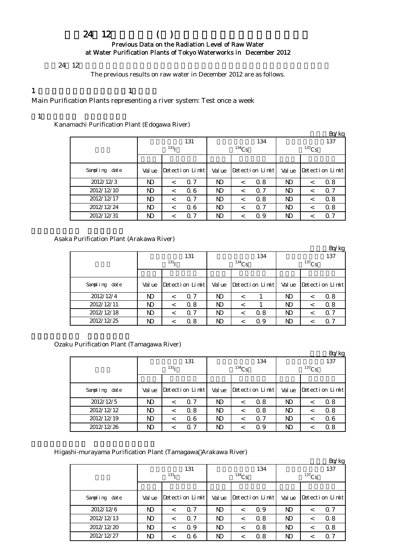# 平成24年12月の浄水場(所)の原水の放射能測定結果について Previous Data on the Radiation Level of Raw Water at Water Purification Plants of Tokyo Waterworks in December 2012

### $24 \t12$

The previous results on raw water in December 2012 are as follows.

# 1  $\qquad \qquad$  1

Main Purification Plants representing a river system: Test once a week

# $(1)$  and  $(1)$  and  $(1)$  and  $(1)$  and  $(1)$

Kanamachi Purification Plant (Edogawa River)

|               |            |         |                 |        |          |                 |                |         | Bq/kg           |  |  |  |
|---------------|------------|---------|-----------------|--------|----------|-----------------|----------------|---------|-----------------|--|--|--|
|               |            |         | 131             |        |          | 134             |                | 137     |                 |  |  |  |
|               | $^{131}$ I |         |                 |        | $134$ Cs |                 | $137$ Cs       |         |                 |  |  |  |
|               |            |         |                 |        |          |                 |                |         |                 |  |  |  |
| Sampling date | Val ue     |         | Detection Limit | Val ue |          | Detection Limit | Val ue         |         | Detection Limit |  |  |  |
| 2012/12/3     | ND         | $\,<\,$ | Q 7             | ND     | $\,<\,$  | 0.8             | ND             | $\,<\,$ | 0.8             |  |  |  |
| 2012/12/10    | ND         | $\,<\,$ | 06              | ND     | $\,<\,$  | $\Omega$ 7      | N <sub>D</sub> | $\,<\,$ | $\Omega$ 7      |  |  |  |
| 2012/12/17    | ND         | $\,<\,$ | 0.7             | ND     | $\,<\,$  | 0.8             | N <sub>D</sub> | $\,<\,$ | 0.8             |  |  |  |
| 2012/12/24    | <b>N</b>   | $\,<\,$ | 06              | ND     | $\,<\,$  | 0.7             | N <sub>D</sub> | $\,<\,$ | 0.8             |  |  |  |
| 2012/12/31    | ND         | $\,<\,$ | 0.7             | ND     | $\,<\,$  | 0.9             | ND             | $\,<\,$ | 0.7             |  |  |  |

Asaka Purification Plant (Arakawa River)

|               |        |                  |                 |        |            |                 |          |         | Bq/kg           |  |  |
|---------------|--------|------------------|-----------------|--------|------------|-----------------|----------|---------|-----------------|--|--|
|               |        |                  | 131             |        |            | 134             | 137      |         |                 |  |  |
|               |        | 131 <sub>T</sub> |                 |        | $^{134}Cs$ |                 | $137$ Cs |         |                 |  |  |
|               |        |                  |                 |        |            |                 |          |         |                 |  |  |
| Sampling date | Val ue |                  | Detection Limit | Val ue |            | Detection Limit | Val ue   |         | Detection Limit |  |  |
| 2012/12/4     | ND.    | $\,<\,$          | 0.7             | ND     | ≺          |                 | ND       | $\,<\,$ | 0.8             |  |  |
| 2012/12/11    | ND.    | $\,<\,$          | 0.8             | ND     | <          |                 | ND       | $\,<\,$ | 0.8             |  |  |
| 2012/12/18    | ND.    |                  | 0.7             | N)     |            | 0.8             | N)       | <       | $\alpha$ 7      |  |  |
| 2012/12/25    | ND     |                  | 0.8             | ND     |            | 0.9             | ND       |         | $\alpha$ 7      |  |  |

Ozaku Purification Plant (Tamagawa River)

|               |       |                  |                  |        |          |                 |          |         | Bq/kg           |  |
|---------------|-------|------------------|------------------|--------|----------|-----------------|----------|---------|-----------------|--|
|               |       |                  | 131              |        |          | 134             | 137      |         |                 |  |
|               |       | 131 <sub>T</sub> |                  |        | $134$ Cs |                 | $137$ Cs |         |                 |  |
|               |       |                  |                  |        |          |                 |          |         |                 |  |
| Sampling date | Value |                  | Detection Limith | Val ue |          | Detection Limit | Val ue   |         | Detection Limit |  |
| 2012/12/5     | ND    | $\,<\,$          | 0.7              | ND     | <        | 0.8             | N)       | $\,<\,$ | 0.8             |  |
| 2012/12/12    | ND    | $\,<\,$          | 0.8              | ND     | <        | 0.8             | ND       | $\,<\,$ | 0.8             |  |
| 2012/12/19    | ND    | <                | 06               | ND     | <        | 0.7             | ND       | <       | 06              |  |
| 2012/12/26    | ND    |                  | 0.7              | ND     |          | 0.9             | ND       |         | 0.8             |  |

Higashi-murayama Purification Plant (Tamagawa Arakawa River)

|               |              |                  |                 |        |          |                 |          |         | Bq/kg           |  |
|---------------|--------------|------------------|-----------------|--------|----------|-----------------|----------|---------|-----------------|--|
|               |              |                  | 131             |        |          | 134             | 137      |         |                 |  |
|               |              | 131 <sub>T</sub> |                 |        | $134$ Cs |                 | $137$ Cs |         |                 |  |
|               |              |                  |                 |        |          |                 |          |         |                 |  |
| Sampling date | Val ue       |                  | Detection Limit | Val ue |          | Detection Limit | Val ue   |         | Detection Limit |  |
| 2012/12/6     | $\mathbf{D}$ | $\,<\,$          | 0.7             | ND     |          | 0.9             | ND       | $\,<\,$ | $\Omega$ 7      |  |
| 2012/12/13    | ND           | $\,<\,$          | 0.7             | ND     | $\,<\,$  | 0.8             | N)       | $\,<\,$ | 0.8             |  |
| 2012/12/20    | ND           | $\,<\,$          | 0.9             | ND     | $\,<\,$  | 0.8             | ND.      | $\,<\,$ | 0.8             |  |
| 2012/12/27    | ND           | $\,<\,$          | 06              | ND     |          | 0.8             | ND       | ≺       | $\Omega$ 7      |  |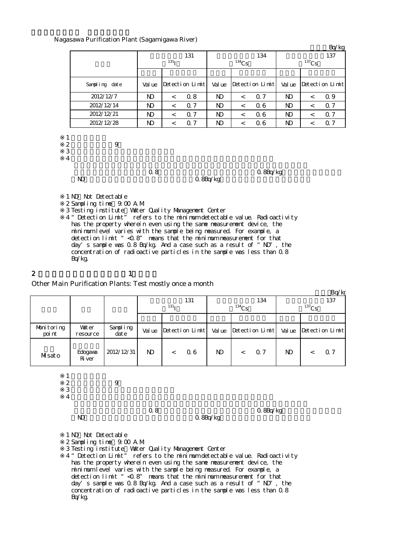#### Nagasawa Purification Plant (Sagamigawa River)

|                                      |                  |                |                  |                 |                |          |                 |                |          | Bq/kg           |
|--------------------------------------|------------------|----------------|------------------|-----------------|----------------|----------|-----------------|----------------|----------|-----------------|
|                                      |                  |                |                  | 131             |                |          | 134             |                |          | 137             |
|                                      |                  |                | 131 <sub>I</sub> |                 |                | $134$ Cs |                 |                | $137$ Cs |                 |
|                                      |                  |                |                  |                 |                |          |                 |                |          |                 |
|                                      | Sampling date    | Val ue         |                  | Detection Limit | Val ue         |          | Detection Limit | Val ue         |          | Detection Limit |
|                                      | 2012/12/7        | N <sub>D</sub> | $\lt$            | 0.8             | ND.            | $\lt$    | 0.7             | N <sub>D</sub> | $\lt$    | 0.9             |
|                                      | 2012/12/14       | ND.            | $\,<\,$          | 0.7             | N <sub>D</sub> | $\,<\,$  | 06              | ND.            | $\,<\,$  | Q 7             |
|                                      | 2012/12/21       | $\mathbf{D}$   | $\lt$            | 0.7             | ND.            | $\lt$    | 06              | $\mathbf{D}$   | $\lt$    | Q 7             |
|                                      | 2012/12/28       | $\mathbf{N}$   | $\,<\,$          | 0.7             | ND             | $\,<\,$  | 0.6             | $\mathbf{D}$   | $\,<\,$  | 0.7             |
| 1<br>$\frac{2}{3}$<br>$\overline{4}$ | $\boldsymbol{9}$ |                |                  |                 |                |          |                 |                |          |                 |
|                                      | ND.              | 0.8            |                  |                 | $Q$ 8Bq/kg     |          | $Q$ 8Bq/kg      |                |          |                 |

1 ND Not Detectable ※2 Sampling time:9:00 A.M. ※3 ※4 "Detection Limit" refers to the minimum detectable value. Radioactivity has the property wherein even using the same measurement device, the minimum level varies with the sample being measured. For example, a detection limit "<0.8" means that the minimum measurement for that day's sample was  $0.8$  Bq/kg. And a case such as a result of "ND", the concentration of radioactive particles in the sample was less than 0.8 Bq/kg. Testing institute:Water Quality Management Center

2 and  $\lambda$  1

Other Main Purification Plants: Test mostly once a month

|                      |                          |                  |              |                         |        |                 |                 | Bq/kg           |  |  |
|----------------------|--------------------------|------------------|--------------|-------------------------|--------|-----------------|-----------------|-----------------|--|--|
|                      |                          |                  |              | 131<br>131 <sub>T</sub> |        | 134<br>$134$ Cs | 137<br>$137$ Cs |                 |  |  |
|                      |                          |                  |              |                         |        |                 |                 |                 |  |  |
| Monitoring<br>poi nt | <b>Vater</b><br>resource | Sampling<br>date | Val ue       | Detection Limit         | Val ue | Detection Limit | Val ue          | Detection Limit |  |  |
| Misato               | Edogava<br>Ri ver        | 2012/12/31       | $\mathbf{N}$ | 06<br>$\lt$             | ND.    | 0.7<br>$\lt$    | ND.             | 0.7             |  |  |
|                      |                          |                  |              |                         |        |                 |                 |                 |  |  |

※2 採水時間:午前9時  $3 \thinspace$ 

 $\overline{A}$ 

ND 3Bq/kg

 $0.8$   $0.8$ 

1 ND Not Detectable

※2 Sampling time:9:00 A.M.

※3 Testing institute:Water Quality Management Center

※4 "Detection Limit" refers to the minimum detectable value. Radioactivity has the property wherein even using the same measurement device, the minimum level varies with the sample being measured. For example, a detection limit "<0.8" means that the minimum measurement for that day's sample was 0.8 Bq/kg. And a case such as a result of "ND", the concentration of radioactive particles in the sample was less than 0.8 Bq/kg.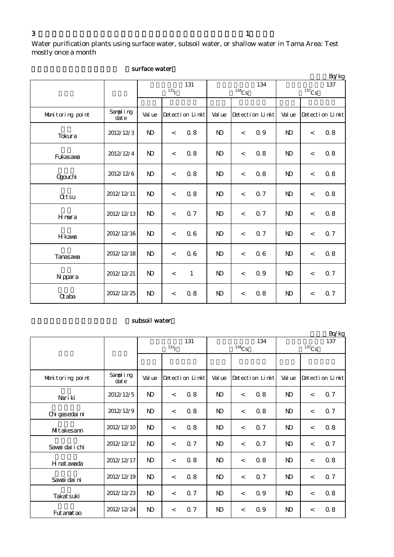Water purification plants using surface water, subsoil water, or shallow water in Tama Area: Test mostly once a month

|                  |                   |                |                  |                 |                |          |                 |                |          | Bq/kg           |
|------------------|-------------------|----------------|------------------|-----------------|----------------|----------|-----------------|----------------|----------|-----------------|
|                  |                   |                |                  | 131             |                |          | 134             |                | $137$ Cs | 137             |
|                  |                   |                | 131 <sub>I</sub> |                 |                | $134$ Cs |                 |                |          |                 |
| Monitoring point | Sampling<br>dat e | Val ue         |                  | Detection Limit | Val ue         |          | Detection Limit | Val ue         |          | Detection Limit |
| Tokura           | 2012/12/3         | $\mathbf{N}$   | $\,<\,$          | 0.8             | N <sub>D</sub> | $\,<$    | 0.9             | $\mathbf{D}$   | $\,<$    | $0\;8$          |
| Fukasava         | 2012/12/4         | N <sub>D</sub> | $\lt$            | 0.8             | N <sub>D</sub> | $\,<$    | 0.8             | N <sub>D</sub> | $\lt$    | 0.8             |
| Qgouchi          | 2012/12/6         | N <sub>D</sub> | $\,<\,$          | 0.8             | $\mathbf{N}$   | $\,<$    | 0.8             | $\mathbf{N}$   | $\,<$    | 0.8             |
| <b>Qtsu</b>      | 2012/12/11        | N <sub>D</sub> | $\,<$            | 0.8             | $\mathbf{N}$   | $\,<$    | 0.7             | $\mathbf{N}$   | $\lt$    | 0.8             |
| Hmura            | 2012/12/13        | $\mathbf{N}$   | $\,<\,$          | 0.7             | $\mathbf{N}$   | $\,<$    | <b>0.7</b>      | $\mathbf{N}$   | $\,<$    | $0.8\,$         |
| H kava           | 2012/12/16        | N <sub>D</sub> | $\,<\,$          | 06              | $\mathbf{N}$   | $\,<$    | 0.7             | $\mathbf{N}$   | $\,<$    | 0.7             |
| Tanasawa         | 2012/12/18        | N <sub>D</sub> | $\,<\,$          | 0.6             | $\mathbf{N}$   | $\,<$    | 0.6             | $\mathbf{N}$   | $\lt$    | $0.8\,$         |
| N ppara          | 2012/12/21        | N <sub>D</sub> | $\lt$            | $\mathbf{1}$    | $\mathbf{N}$   | $\,<\,$  | 0.9             | $\mathbf{N}$   | $\lt$    | <b>Q7</b>       |
| <b>Q</b> aba     | 2012/12/25        | N <sub>D</sub> | $\,<\,$          | 0.8             | $\mathbf{N}$   | $\,<$    | 0.8             | $\mathbf{N}$   | $\,<$    | <b>Q7</b>       |

#### surface water

# subsoil water

|                  |                   |                |                   |                 |                |                     |                 |                 |         | Bq/kg           |
|------------------|-------------------|----------------|-------------------|-----------------|----------------|---------------------|-----------------|-----------------|---------|-----------------|
|                  |                   |                | 131<br>$^{131}$ I |                 |                | $^{134}\mathrm{Cs}$ | 134             | 137<br>$137$ Cs |         |                 |
|                  |                   |                |                   |                 |                |                     |                 |                 |         |                 |
| Monitoring point | Sampling<br>dat e | Val ue         |                   | Detection Limit | Val ue         |                     | Detection Limit | Val ue          |         | Detection Limit |
| Nari ki          | 2012/12/5         | $\mathbf{D}$   | $\,<\,$           | 0.8             | N <sub>D</sub> | $\,<\,$             | 0.8             | $\mathbf{D}$    | $\,<$   | 0.7             |
| Chi gasedai ni   | 2012/12/9         | N <sub>D</sub> | $\,<\,$           | 0.8             | N <sub>D</sub> | $\lt$               | 0.8             | N <sub>D</sub>  | $\prec$ | 0.7             |
| MIt akesann      | 2012/12/10        | $\mathbf{D}$   | $\lt$             | 0.8             | $\mathbf{N}$   | $\lt$               | 0.7             | $\mathbf{D}$    | $\,<$   | 0.8             |
| Savai dai i chi  | 2012/12/12        | $\mathbf{N}$   | $\,<\,$           | 0.7             | $\mathbf{N}$   | $\lt$               | 0.7             | $\mathbf{D}$    | $\lt$   | 0.7             |
| H nat awada      | 2012/12/17        | $\mathbf{N}$   | $\lt$             | 0.8             | $\mathbf{N}$   | $\,<\,$             | 0.8             | $\mathbf{D}$    | $\,<$   | 0.8             |
| Savai dai ni     | 2012/12/19        | ND.            | $\lt$             | 0.8             | N <sub>D</sub> | $\lt$               | 0.7             | N <sub>D</sub>  | $\prec$ | 0.7             |
| Takat suki       | 2012/12/23        | ND.            | $\lt$             | 0.7             | N <sub>D</sub> | $\lt$               | 0.9             | N <sub>D</sub>  | $\prec$ | 0.8             |
| Fut anat ao      | 2012/12/24        | N)             | $\lt$             | 0.7             | $\mathbf{D}$   | $\lt$               | 0.9             | N)              | $\lt$   | 0.8             |